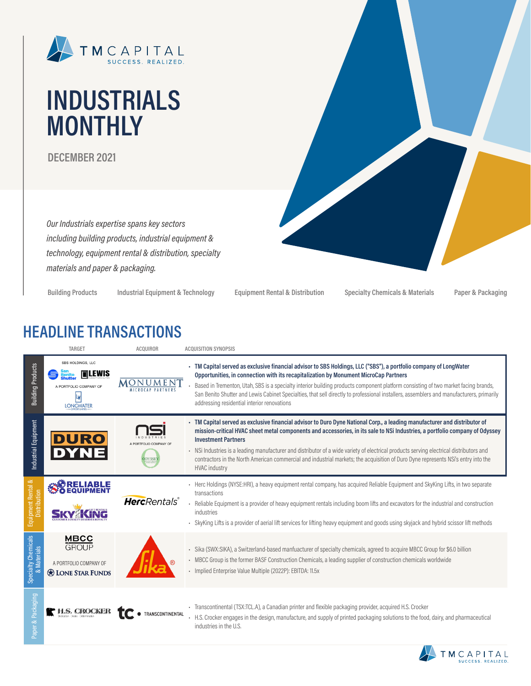

# **INDUSTRIALS MONTHLY**

**DECEMBER 2021**

*Our Industrials expertise spans key sectors including building products, industrial equipment & technology, equipment rental & distribution, specialty materials and paper & packaging.*

**Building Products Industrial Equipment & Technology Equipment Rental & Distribution Specialty Chemicals & Materials Paper & Packaging**

# **HEADLINE TRANSACTIONS**

|                                              | TARGET                                                                               | <b>ACQUIROR</b>        | <b>ACQUISITION SYNOPSIS</b>                                                                                                                                                                                                                                                                                                                                                                                                                                                                                                                                                                    |
|----------------------------------------------|--------------------------------------------------------------------------------------|------------------------|------------------------------------------------------------------------------------------------------------------------------------------------------------------------------------------------------------------------------------------------------------------------------------------------------------------------------------------------------------------------------------------------------------------------------------------------------------------------------------------------------------------------------------------------------------------------------------------------|
| <b>Building Products</b>                     | SBS HOLDINGS, LLC<br>LEWIS<br>A PORTFOLIO COMPANY OF<br><b>LONGWATER</b>             |                        | TM Capital served as exclusive financial advisor to SBS Holdings, LLC ("SBS"), a portfolio company of LongWater<br>Opportunities, in connection with its recapitalization by Monument MicroCap Partners<br>Based in Trementon, Utah, SBS is a specialty interior building products component platform consisting of two market facing brands,<br>San Benito Shutter and Lewis Cabinet Specialties, that sell directly to professional installers, assemblers and manufacturers, primarily<br>addressing residential interior renovations                                                       |
| Industrial Equipment                         | <b>DURO</b>                                                                          | <b>DYSSE</b>           | - TM Capital served as exclusive financial advisor to Duro Dyne National Corp., a leading manufacturer and distributor of<br>mission-critical HVAC sheet metal components and accessories, in its sale to NSi Industries, a portfolio company of Odyssey<br><b>Investment Partners</b><br>- NSi Industries is a leading manufacturer and distributor of a wide variety of electrical products serving electrical distributors and<br>contractors in the North American commercial and industrial markets; the acquisition of Duro Dyne represents NSi's entry into the<br><b>HVAC</b> industry |
| ∞<br>Equipment Rental<br>Distribution        |                                                                                      | <b>Herc</b> Rentals®   | - Herc Holdings (NYSE:HRI), a heavy equipment rental company, has acquired Reliable Equipment and SkyKing Lifts, in two separate<br>transactions<br>- Reliable Equipment is a provider of heavy equipment rentals including boom lifts and excavators for the industrial and construction<br>industries<br>SkyKing Lifts is a provider of aerial lift services for lifting heavy equipment and goods using skyjack and hybrid scissor lift methods                                                                                                                                             |
| Specialty Chemicals<br><b>Materials</b><br>త | <b>MBCC</b><br><b>GROUP</b><br>A PORTFOLIO COMPANY OF<br><b>Relations</b> STAR FUNDS |                        | Sika (SWX:SIKA), a Switzerland-based manfuacturer of specialty chemicals, agreed to acquire MBCC Group for \$6.0 billion<br>×,<br>- MBCC Group is the former BASF Construction Chemicals, a leading supplier of construction chemicals worldwide<br>Implied Enterprise Value Multiple (2022P): EBITDA: 11.5x                                                                                                                                                                                                                                                                                   |
| Packaging<br>iper &                          |                                                                                      | <b>RANSCONTINENTAL</b> | Transcontinental (TSX:TCL.A), a Canadian printer and flexible packaging provider, acquired H.S. Crocker<br>- H.S. Crocker engages in the design, manufacture, and supply of printed packaging solutions to the food, dairy, and pharmaceutical<br>industries in the U.S.                                                                                                                                                                                                                                                                                                                       |

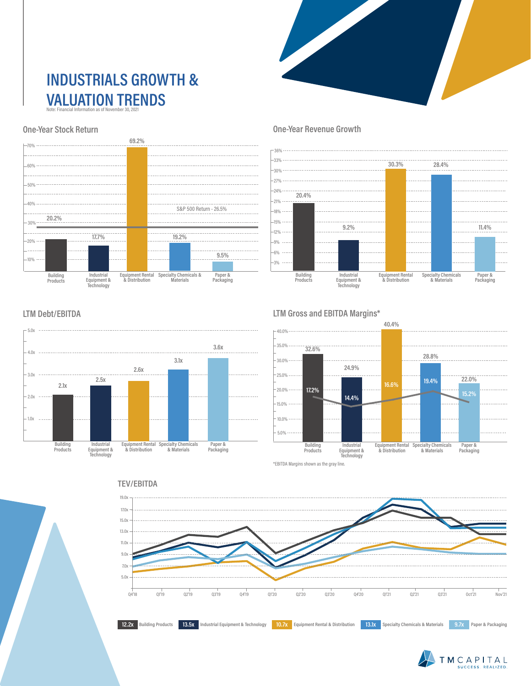### **INDUSTRIALS GROWTH & VALUATION TRENDS** Note: Financial Information as of November 30, 2021

### **One-Year Stock Return**



### **One-Year Revenue Growth**



### **LTM Debt/EBITDA**



### **LTM Gross and EBITDA Margins\***



\*EBITDA Margins shown as the gray line.





## 19.0x **TEV/EBITDA**